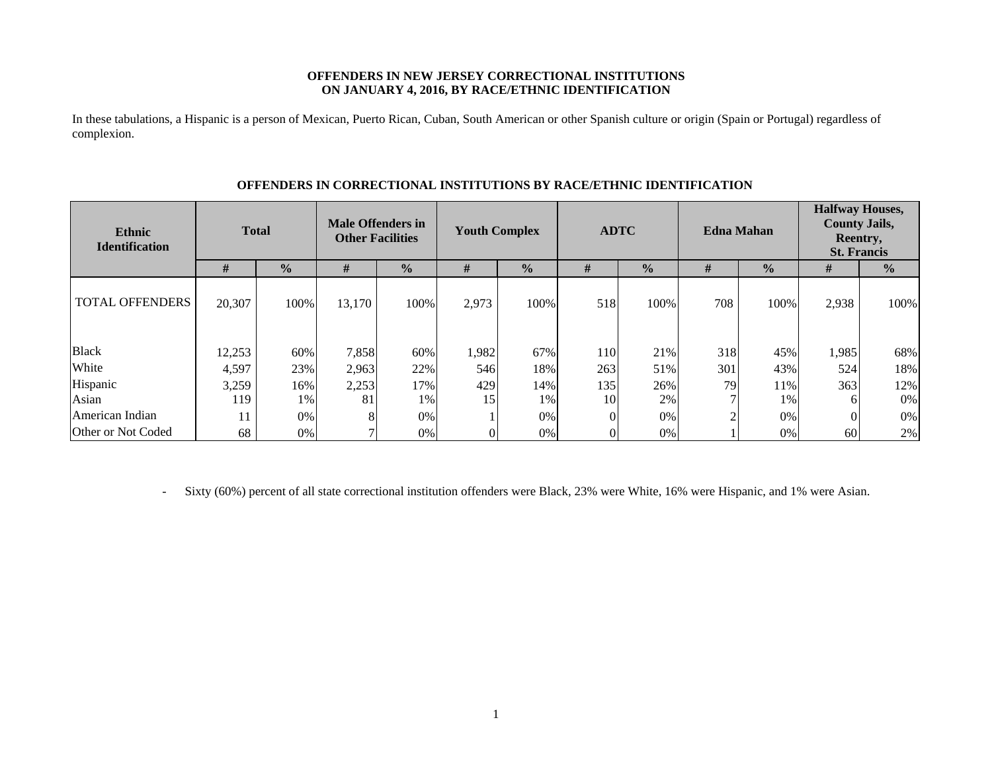### **OFFENDERS IN NEW JERSEY CORRECTIONAL INSTITUTIONS ON JANUARY 4, 2016, BY RACE/ETHNIC IDENTIFICATION**

In these tabulations, a Hispanic is a person of Mexican, Puerto Rican, Cuban, South American or other Spanish culture or origin (Spain or Portugal) regardless of complexion.

| <b>Ethnic</b><br><b>Identification</b> | <b>Total</b> |               | <b>Male Offenders in</b><br><b>Other Facilities</b> |               | <b>Youth Complex</b> |               | <b>ADTC</b> |               |     | <b>Edna Mahan</b> | <b>Halfway Houses,</b><br><b>County Jails,</b><br>Reentry,<br><b>St. Francis</b> |               |
|----------------------------------------|--------------|---------------|-----------------------------------------------------|---------------|----------------------|---------------|-------------|---------------|-----|-------------------|----------------------------------------------------------------------------------|---------------|
|                                        | #            | $\frac{0}{0}$ | #                                                   | $\frac{0}{0}$ | #                    | $\frac{0}{0}$ | #           | $\frac{0}{0}$ | #   | $\frac{1}{2}$     | #                                                                                | $\frac{0}{0}$ |
| <b>TOTAL OFFENDERS</b>                 | 20,307       | 100%          | 13,170                                              | 100%          | 2,973                | 100%          | 518         | 100%          | 708 | 100%              | 2,938                                                                            | 100%          |
| <b>Black</b>                           | 12,253       | 60%           | 7,858                                               | 60%           | 1,982                | 67%           | 110         | 21%           | 318 | 45%               | 1,985                                                                            | 68%           |
| White                                  | 4,597        | 23%           | 2,963                                               | 22%           | 546                  | 18%           | 263         | 51%           | 301 | 43%               | 524                                                                              | 18%           |
| Hispanic                               | 3,259        | 16%           | 2,253                                               | 17%           | 429                  | 14%           | 135         | 26%           | 79  | 11%               | 363                                                                              | 12%           |
| Asian                                  | 119          | 1%            | 81                                                  | 1%            | 15                   | 1%            | 10          | 2%            |     | 1%                | 6                                                                                | $0\%$         |
| American Indian                        | 11           | 0%            | 8                                                   | 0%            |                      | $0\%$         |             | 0%            |     | $0\%$             |                                                                                  | $0\%$         |
| Other or Not Coded                     | 68           | 0%            |                                                     | 0%            |                      | 0%            |             | 0%            |     | $0\%$             | 60                                                                               | 2%            |

### **OFFENDERS IN CORRECTIONAL INSTITUTIONS BY RACE/ETHNIC IDENTIFICATION**

-Sixty (60%) percent of all state correctional institution offenders were Black, 23% were White, 16% were Hispanic, and 1% were Asian.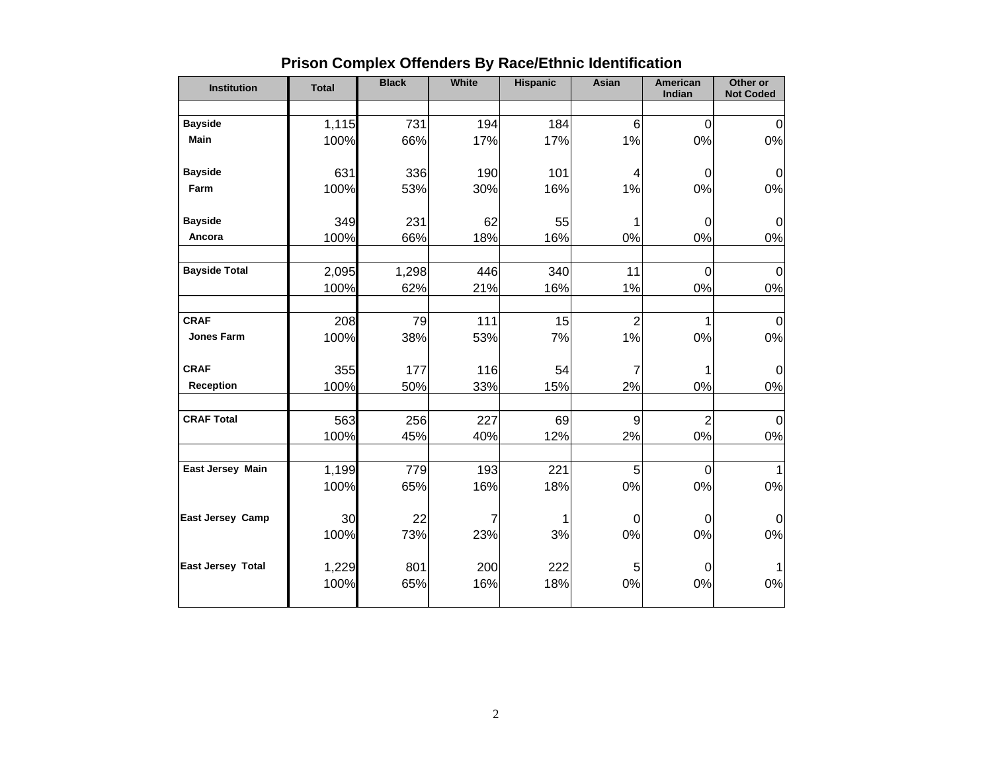| <b>Institution</b>       | <b>Total</b> | <b>Black</b> | White | <b>Hispanic</b> | Asian          | <b>American</b><br>Indian | Other or<br><b>Not Coded</b> |
|--------------------------|--------------|--------------|-------|-----------------|----------------|---------------------------|------------------------------|
|                          |              |              |       |                 |                |                           |                              |
| <b>Bayside</b>           | 1,115        | 731          | 194   | 184             | 6              | $\overline{0}$            | $\mathbf{0}$                 |
| <b>Main</b>              | 100%         | 66%          | 17%   | 17%             | 1%             | 0%                        | $0\%$                        |
| <b>Bayside</b>           | 631          | 336          | 190   | 101             | 4              | $\Omega$                  | 0                            |
| Farm                     | 100%         | 53%          | 30%   | 16%             | 1%             | 0%                        | 0%                           |
| <b>Bayside</b>           | 349          | 231          | 62    | 55              | 1              | 0                         | $\mathbf 0$                  |
| Ancora                   | 100%         | 66%          | 18%   | 16%             | 0%             | 0%                        | 0%                           |
| <b>Bayside Total</b>     | 2,095        | 1,298        | 446   | 340             | 11             | $\overline{0}$            | $\mathbf{0}$                 |
|                          | 100%         | 62%          | 21%   | 16%             | 1%             | 0%                        | 0%                           |
|                          |              |              |       |                 |                |                           |                              |
| <b>CRAF</b>              | 208          | 79           | 111   | 15              | $\overline{2}$ | 1                         | $\pmb{0}$                    |
| <b>Jones Farm</b>        | 100%         | 38%          | 53%   | 7%              | 1%             | 0%                        | 0%                           |
| <b>CRAF</b>              | 355          | 177          | 116   | 54              | $\overline{7}$ | 1                         | $\mathbf{0}$                 |
| <b>Reception</b>         | 100%         | 50%          | 33%   | 15%             | 2%             | 0%                        | 0%                           |
| <b>CRAF Total</b>        | 563          | 256          | 227   | 69              | 9              | $\overline{2}$            | $\mathbf 0$                  |
|                          | 100%         | 45%          | 40%   | 12%             | 2%             | 0%                        | 0%                           |
| East Jersey Main         | 1,199        | 779          | 193   | 221             | 5              | $\overline{0}$            |                              |
|                          | 100%         | 65%          | 16%   | 18%             | 0%             | 0%                        | 0%                           |
| <b>East Jersey Camp</b>  | 30           | 22           | 7     |                 | $\mathbf 0$    | $\pmb{0}$                 | $\mathbf 0$                  |
|                          | 100%         | 73%          | 23%   | 3%              | 0%             | 0%                        | 0%                           |
| <b>East Jersey Total</b> | 1,229        | 801          | 200   | 222             | 5              | 0                         |                              |
|                          | 100%         | 65%          | 16%   | 18%             | 0%             | 0%                        | 0%                           |
|                          |              |              |       |                 |                |                           |                              |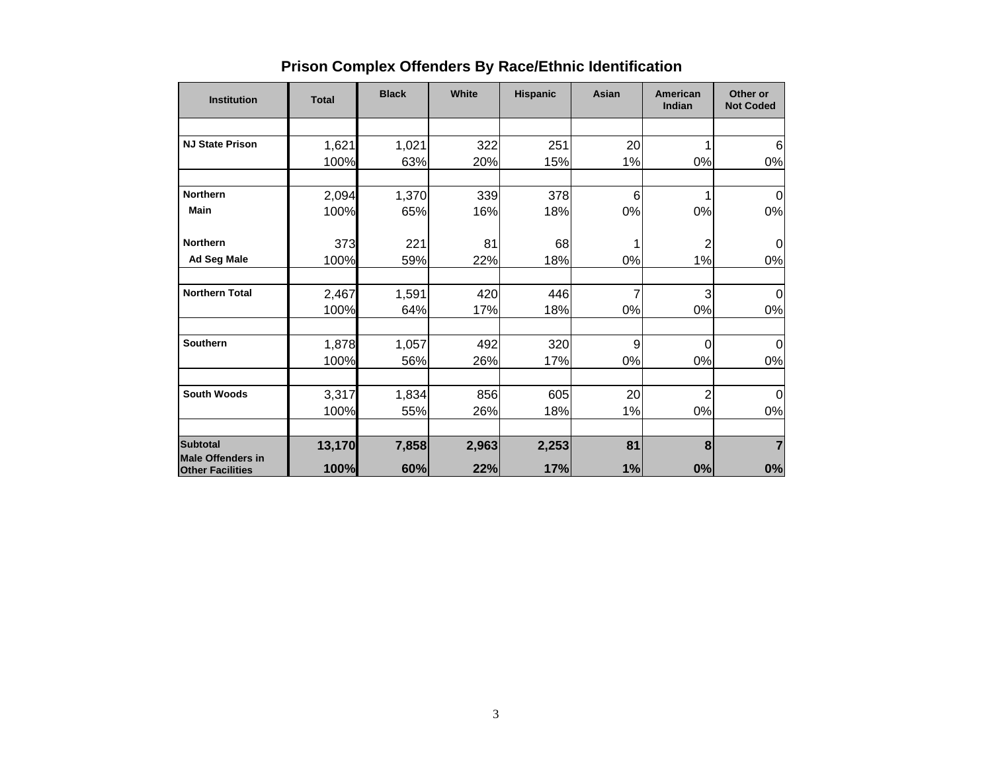| <b>Institution</b>                                  | <b>Total</b> | <b>Black</b> | White | <b>Hispanic</b> | Asian | American<br>Indian | Other or<br><b>Not Coded</b> |
|-----------------------------------------------------|--------------|--------------|-------|-----------------|-------|--------------------|------------------------------|
|                                                     |              |              |       |                 |       |                    |                              |
| <b>NJ State Prison</b>                              | 1,621        | 1,021        | 322   | 251             | 20    |                    | 6                            |
|                                                     | 100%         | 63%          | 20%   | 15%             | 1%    | 0%                 | 0%                           |
| <b>Northern</b>                                     | 2,094        | 1,370        | 339   | 378             | 6     |                    | 0                            |
| <b>Main</b>                                         | 100%         | 65%          | 16%   | 18%             | 0%    | 0%                 | 0%                           |
| <b>Northern</b>                                     | 373          | 221          | 81    | 68              | 1     | 2                  | 0                            |
| Ad Seg Male                                         | 100%         | 59%          | 22%   | 18%             | 0%    | 1%                 | 0%                           |
| <b>Northern Total</b>                               | 2,467        | 1,591        | 420   | 446             | 7     | 3                  | $\Omega$                     |
|                                                     | 100%         | 64%          | 17%   | 18%             | 0%    | 0%                 | 0%                           |
| <b>Southern</b>                                     | 1,878        | 1,057        | 492   | 320             | 9     | 0                  | 0                            |
|                                                     | 100%         | 56%          | 26%   | 17%             | 0%    | 0%                 | 0%                           |
| <b>South Woods</b>                                  | 3,317        | 1,834        | 856   | 605             | 20    | $\overline{c}$     | 0                            |
|                                                     | 100%         | 55%          | 26%   | 18%             | 1%    | 0%                 | 0%                           |
| <b>Subtotal</b>                                     | 13,170       | 7,858        | 2,963 | 2,253           | 81    | 8                  |                              |
| <b>Male Offenders in</b><br><b>Other Facilities</b> | 100%         | 60%          | 22%   | 17%             | 1%    | 0%                 | 0%                           |

# **Prison Complex Offenders By Race/Ethnic Identification**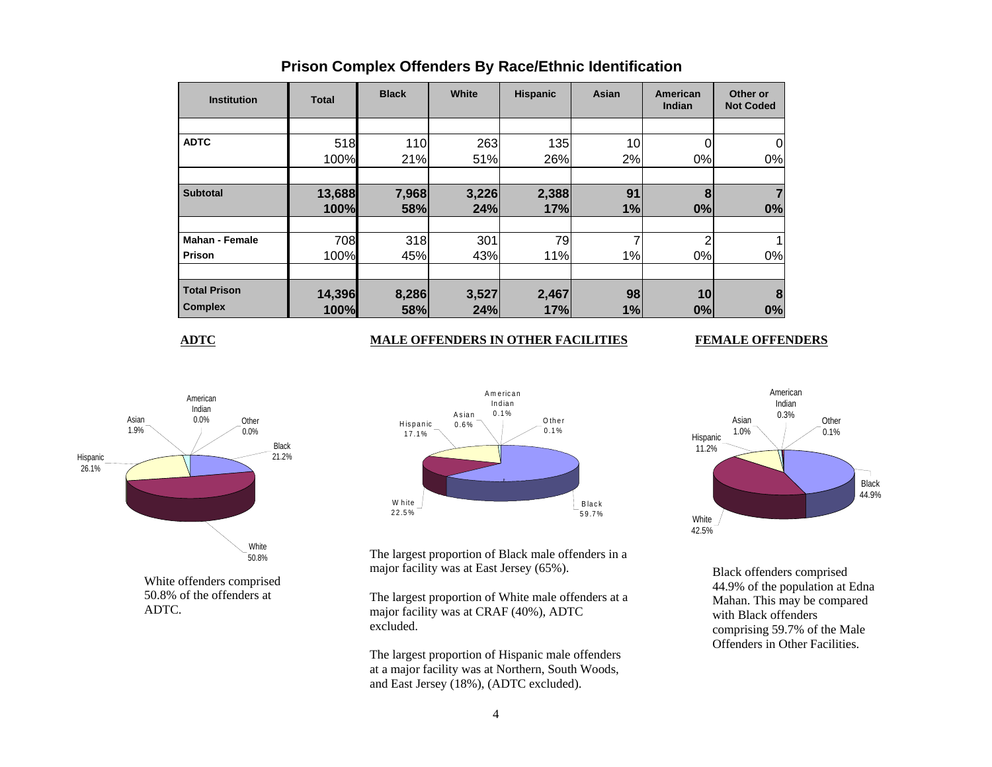| <b>Institution</b>    | <b>Total</b> | <b>Black</b> | White | <b>Hispanic</b> | Asian | American<br><b>Indian</b> | Other or<br><b>Not Coded</b> |
|-----------------------|--------------|--------------|-------|-----------------|-------|---------------------------|------------------------------|
|                       |              |              |       |                 |       |                           |                              |
| <b>ADTC</b>           | 518          | 110          | 263   | 135             | 10    |                           |                              |
|                       | 100%         | 21%          | 51%   | 26%             | 2%    | 0%                        | 0%                           |
|                       |              |              |       |                 |       |                           |                              |
| <b>Subtotal</b>       | 13,688       | 7,968        | 3,226 | 2,388           | 91    | 8                         |                              |
|                       | 100%         | 58%          | 24%   | 17%             | 1%    | 0%                        | 0%                           |
|                       |              |              |       |                 |       |                           |                              |
| <b>Mahan - Female</b> | 708          | 318          | 301   | 79              | ⇁     | ◠                         |                              |
| Prison                | 100%         | 45%          | 43%   | 11%             | 1%    | 0%                        | 0%                           |
|                       |              |              |       |                 |       |                           |                              |
| <b>Total Prison</b>   | 14,396       | 8,286        | 3,527 | 2,467           | 98    | 10                        | 8                            |
| <b>Complex</b>        | 100%         | 58%          | 24%   | 17%             | 1%    | 0%                        | 0%                           |

## **Prison Complex Offenders By Race/Ethnic Identification**

**ADTC**

### **MALE OFFENDERS IN OTHER FACILITIES FEMALE OFFENDERS**



50.8% of the offenders at ADTC.



The largest proportion of Black male offenders in a major facility was at East Jersey (65%).

The largest proportion of White male offenders at a major facility was at CRAF (40%), ADTC excluded.

The largest proportion of Hispanic male offenders at a major facility was at Northern, South Woods, and East Jersey (18%), (ADTC excluded).



Black offenders comprised 44.9% of the population at Edna Mahan. This may be compared with Black offenders comprising 59.7% of the Male Offenders in Other Facilities.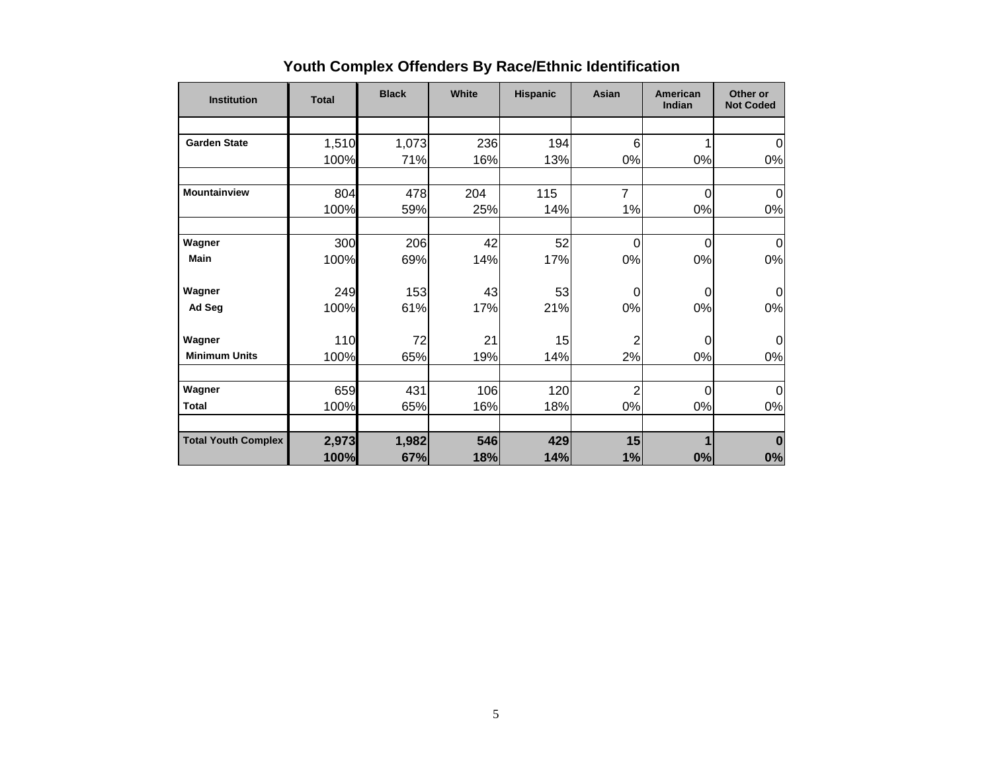| <b>Institution</b>         | <b>Total</b> | <b>Black</b> | White | <b>Hispanic</b> | Asian          | <b>American</b><br>Indian | Other or<br><b>Not Coded</b> |
|----------------------------|--------------|--------------|-------|-----------------|----------------|---------------------------|------------------------------|
|                            |              |              |       |                 |                |                           |                              |
| <b>Garden State</b>        | 1,510        | 1,073        | 236   | 194             | 6              |                           | $\overline{0}$               |
|                            | 100%         | 71%          | 16%   | 13%             | 0%             | 0%                        | 0%                           |
| <b>Mountainview</b>        | 804          | 478          | 204   | 115             | $\overline{7}$ | 0                         | $\Omega$                     |
|                            | 100%         | 59%          | 25%   | 14%             | 1%             | 0%                        | 0%                           |
| Wagner                     | 300          | 206          | 42    | 52              | $\overline{0}$ | 0                         | 0                            |
| <b>Main</b>                | 100%         | 69%          | 14%   | 17%             | 0%             | 0%                        | 0%                           |
| Wagner                     | 249          | 153          | 43    | 53              | 0              | 0                         | $\Omega$                     |
| Ad Seg                     | 100%         | 61%          | 17%   | 21%             | 0%             | 0%                        | 0%                           |
| Wagner                     | 110          | 72           | 21    | 15              | $\overline{2}$ | 0                         | $\Omega$                     |
| <b>Minimum Units</b>       | 100%         | 65%          | 19%   | 14%             | 2%             | 0%                        | 0%                           |
| Wagner                     | 659          | 431          | 106   | 120             | $\overline{2}$ | $\Omega$                  | $\mathbf 0$                  |
| <b>Total</b>               | 100%         | 65%          | 16%   | 18%             | 0%             | 0%                        | 0%                           |
| <b>Total Youth Complex</b> | 2,973        | 1,982        | 546   | 429             | 15             |                           | $\bf{0}$                     |
|                            | 100%         | 67%          | 18%   | 14%             | 1%             | 0%                        | 0%                           |

# **Youth Complex Offenders By Race/Ethnic Identification**